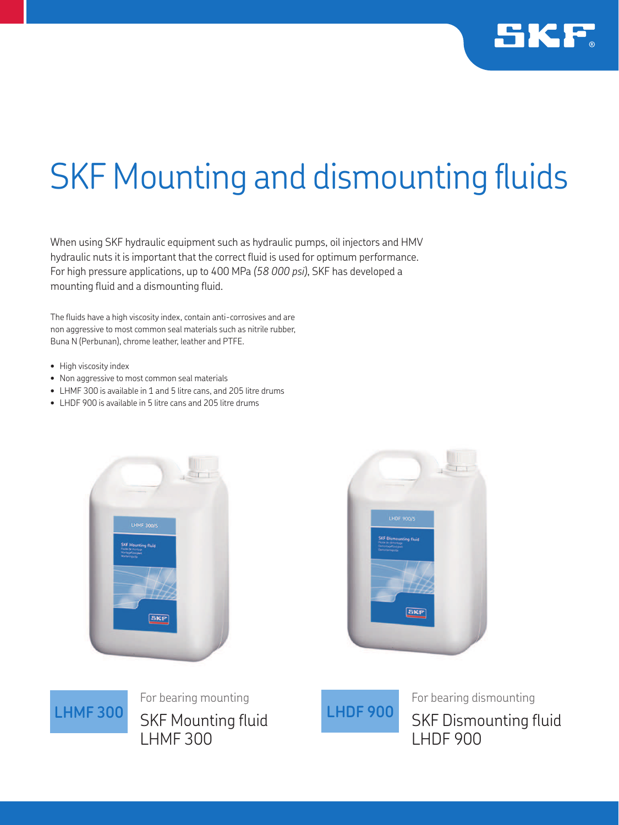

## **SKF Mounting and dismounting fluids**

When using SKF hydraulic equipment such as hydraulic pumps, oil injectors and HMV hydraulic nuts it is important that the correct fluid is used for optimum performance. For high pressure applications, up to 400 MPa *(58 000 psi)*, SKF has developed a mounting fluid and a dismounting fluid.

The fluids have a high viscosity index, contain anti-corrosives and are non aggressive to most common seal materials such as nitrile rubber, Buna N (Perbunan), chrome leather, leather and PTFE.

- High viscosity index
- Non aggressive to most common seal materials
- LHMF 300 is available in 1 and 5 litre cans, and 205 litre drums
- LHDF 900 is available in 5 litre cans and 205 litre drums







LHMF 300 CIAT Maximing fluid LHDF 900 For bearing mounting SKF Mounting fluid LHMF 300



For bearing dismounting SKF Dismounting fluid LHDF 900